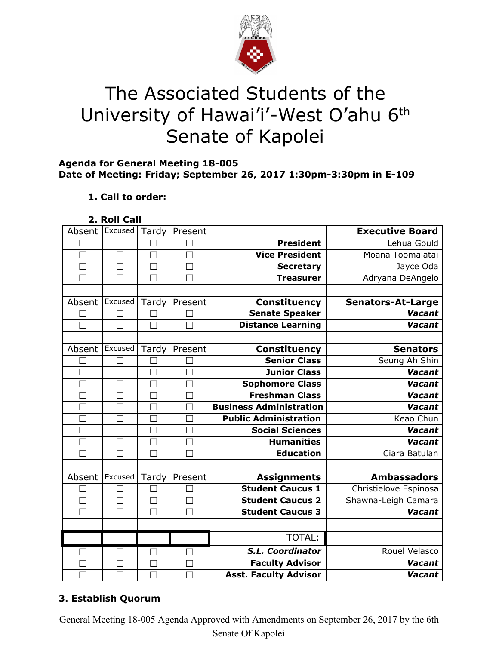

# The Associated Students of the University of Hawai'i'-West O'ahu 6<sup>th</sup> Senate of Kapolei

## **Agenda for General Meeting 18-005 Date of Meeting: Friday; September 26, 2017 1:30pm-3:30pm in E-109**

# **1. Call to order:**

**2. Roll Call**

| Absent        | Excused       | Tardy             | Present |                                | <b>Executive Board</b>   |
|---------------|---------------|-------------------|---------|--------------------------------|--------------------------|
|               |               |                   |         | <b>President</b>               | Lehua Gould              |
| П             | П             | $\Box$            | $\Box$  | <b>Vice President</b>          | Moana Toomalatai         |
| $\mathcal{L}$ | $\mathcal{L}$ | $\vert \ \ \vert$ |         | <b>Secretary</b>               | Jayce Oda                |
|               | M             | $\Box$            |         | <b>Treasurer</b>               | Adryana DeAngelo         |
|               |               |                   |         |                                |                          |
| Absent        | Excused       | Tardy             | Present | Constituency                   | <b>Senators-At-Large</b> |
|               |               |                   |         | <b>Senate Speaker</b>          | <b>Vacant</b>            |
| П             | П             | П                 |         | <b>Distance Learning</b>       | Vacant                   |
|               |               |                   |         |                                |                          |
| Absent        | Excused       | Tardy             | Present | <b>Constituency</b>            | <b>Senators</b>          |
|               |               |                   |         | <b>Senior Class</b>            | Seung Ah Shin            |
|               | ٦             | $\Box$            |         | <b>Junior Class</b>            | Vacant                   |
| П             | П             | $\Box$            |         | Sophomore Class                | <b>Vacant</b>            |
|               |               |                   |         | <b>Freshman Class</b>          | <b>Vacant</b>            |
|               | П             |                   |         | <b>Business Administration</b> | <b>Vacant</b>            |
|               |               | $\mathbf{L}$      |         | <b>Public Administration</b>   | Keao Chun                |
|               |               |                   |         | <b>Social Sciences</b>         | Vacant                   |
| $\Box$        | П             | $\Box$            | $\Box$  | <b>Humanities</b>              | Vacant                   |
| $\mathbf{I}$  | H             | M                 |         | <b>Education</b>               | Ciara Batulan            |
|               |               |                   |         |                                |                          |
| Absent        | Excused       | Tardy             | Present | <b>Assignments</b>             | <b>Ambassadors</b>       |
|               |               |                   |         | <b>Student Caucus 1</b>        | Christielove Espinosa    |
|               | $\Box$        | $\Box$            |         | <b>Student Caucus 2</b>        | Shawna-Leigh Camara      |
|               | $\Box$        | П                 |         | <b>Student Caucus 3</b>        | <b>Vacant</b>            |
|               |               |                   |         |                                |                          |
|               |               |                   |         | TOTAL:                         |                          |
|               | □             | П                 | П       | <b>S.L. Coordinator</b>        | Rouel Velasco            |
|               | - 1           |                   |         | <b>Faculty Advisor</b>         | <b>Vacant</b>            |
|               |               |                   |         | <b>Asst. Faculty Advisor</b>   | Vacant                   |

# **3. Establish Quorum**

General Meeting 18-005 Agenda Approved with Amendments on September 26, 2017 by the 6th Senate Of Kapolei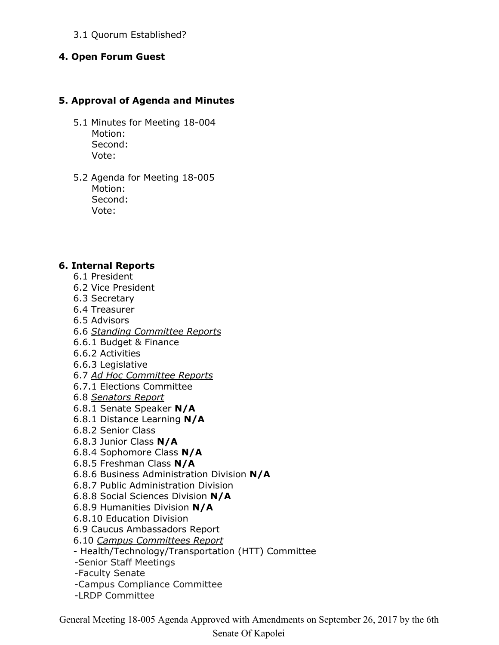## 3.1 Quorum Established?

#### **4. Open Forum Guest**

#### **5. Approval of Agenda and Minutes**

- 5.1 Minutes for Meeting 18-004 Motion: Second: Vote:
- 5.2 Agenda for Meeting 18-005 Motion: Second: Vote:

#### **6. Internal Reports**

- 6.1 President
- 6.2 Vice President
- 6.3 Secretary
- 6.4 Treasurer
- 6.5 Advisors
- 6.6 *Standing Committee Reports*
- 6.6.1 Budget & Finance
- 6.6.2 Activities
- 6.6.3 Legislative
- 6.7 *Ad Hoc Committee Reports*
- 6.7.1 Elections Committee
- 6.8 *Senators Report*
- 6.8.1 Senate Speaker **N/A**
- 6.8.1 Distance Learning **N/A**
- 6.8.2 Senior Class
- 6.8.3 Junior Class **N/A**
- 6.8.4 Sophomore Class **N/A**
- 6.8.5 Freshman Class **N/A**
- 6.8.6 Business Administration Division **N/A**
- 6.8.7 Public Administration Division
- 6.8.8 Social Sciences Division **N/A**
- 6.8.9 Humanities Division **N/A**
- 6.8.10 Education Division
- 6.9 Caucus Ambassadors Report
- 6.10 *Campus Committees Report*
- Health/Technology/Transportation (HTT) Committee
- -Senior Staff Meetings
- -Faculty Senate
- -Campus Compliance Committee
- -LRDP Committee

General Meeting 18-005 Agenda Approved with Amendments on September 26, 2017 by the 6th

#### Senate Of Kapolei